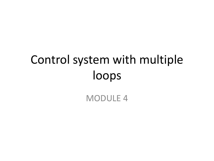# Control system with multiple loops

#### MODULE 4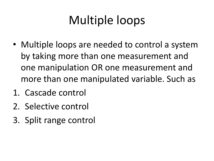# Multiple loops

- Multiple loops are needed to control a system by taking more than one measurement and one manipulation OR one measurement and more than one manipulated variable. Such as
- 1. Cascade control
- 2. Selective control
- 3. Split range control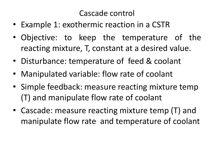#### Cascade control

- Example 1: exothermic reaction in a CSTR
- Objective: to keep the temperature of the reacting mixture, T, constant at a desired value.
- Disturbance: temperature of feed & coolant
- Manipulated variable: flow rate of coolant
- Simple feedback: measure reacting mixture temp (T) and manipulate flow rate of coolant
- Cascade: measure reacting mixture temp (T) and manipulate flow rate and temperature of coolant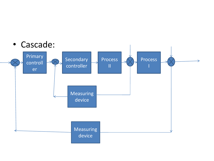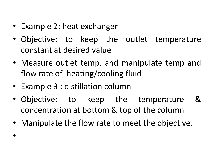- Example 2: heat exchanger
- Objective: to keep the outlet temperature constant at desired value
- Measure outlet temp. and manipulate temp and flow rate of heating/cooling fluid
- Example 3 : distillation column

•

- Objective: to keep the temperature & concentration at bottom & top of the column
- Manipulate the flow rate to meet the objective.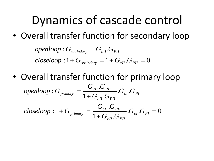### Dynamics of cascade control

• Overall transfer function for secondary loop

*openloop* : 
$$
G_{\text{sec}indary} = G_{cII} \cdot G_{PII}
$$
  
*closeloop* :  $1 + G_{\text{sec}indary} = 1 + G_{cII} \cdot G_{PII} = 0$ 

• Overall transfer function for primary loop

*openloop* : 
$$
G_{primary}
$$
 =  $\frac{G_{cII}.G_{PI}}{1 + G_{cII}.G_{PI}}$ .  $G_{cI}.G_{PI}$   
\n*closeloop* :  $1 + G_{primary}$  =  $\frac{G_{cII}.G_{PI}}{1 + G_{cII}.G_{PI}}$ .  $G_{cI}.G_{PI}$  = 0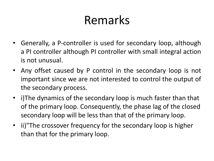## Remarks

- Generally, a P-controller is used for secondary loop, although a PI controller although PI controller with small integral action is not unusual.
- Any offset caused by P control in the secondary loop is not important since we are not interested to control the output of the secondary process.
- i)The dynamics of the secondary loop is much faster than that of the primary loop. Consequently, the phase lag of the closed secondary loop will be less than that of the primary loop.
- ii)"The crossover frequency for the secondary loop is higher than that for the primary loop.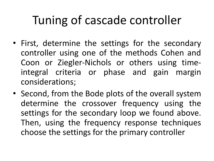## Tuning of cascade controller

- First, determine the settings for the secondary controller using one of the methods Cohen and Coon or Ziegler-Nichols or others using timeintegral criteria or phase and gain margin considerations;
- Second, from the Bode plots of the overall system determine the crossover frequency using the settings for the secondary loop we found above. Then, using the frequency response techniques choose the settings for the primary controller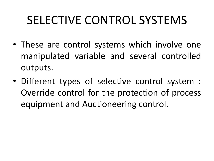## SELECTIVE CONTROL SYSTEMS

- These are control systems which involve one manipulated variable and several controlled outputs.
- Different types of selective control system : Override control for the protection of process equipment and Auctioneering control.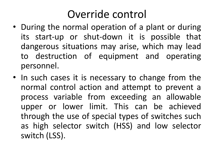### Override control

- During the normal operation of a plant or during its start-up or shut-down it is possible that dangerous situations may arise, which may lead to destruction of equipment and operating personnel.
- In such cases it is necessary to change from the normal control action and attempt to prevent a process variable from exceeding an allowable upper or lower limit. This can be achieved through the use of special types of switches such as high selector switch (HSS) and low selector switch (LSS).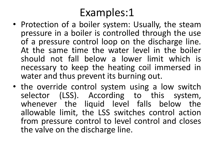#### Examples:1

- Protection of a boiler system: Usually, the steam pressure in a boiler is controlled through the use of a pressure control loop on the discharge line. At the same time the water level in the boiler should not fall below a lower limit which is necessary to keep the heating coil immersed in water and thus prevent its burning out.
- the override control system using a low switch selector (LSS). According to this system, whenever the liquid level falls below the allowable limit, the LSS switches control action from pressure control to level control and closes the valve on the discharge line.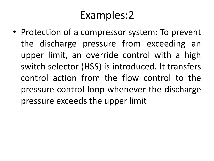#### Examples:2

• Protection of a compressor system: To prevent the discharge pressure from exceeding an upper limit, an override control with a high switch selector (HSS) is introduced. It transfers control action from the flow control to the pressure control loop whenever the discharge pressure exceeds the upper limit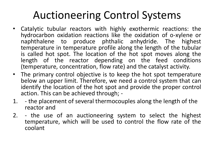### Auctioneering Control Systems

- Catalytic tubular reactors with highly exothermic reactions: the hydrocarbon oxidation reactions like the oxidation of o-xylene or naphthalene to produce phthalic anhydride. The highest temperature in temperature profile along the length of the tubular is called hot spot. The location of the hot spot moves along the length of the reactor depending on the feed conditions (temperature, concentration, flow rate) and the catalyst activity.
- The primary control objective is to keep the hot spot temperature below an upper limit. Therefore, we need a control system that can identify the location of the hot spot and provide the proper control action. This can be achieved through; -
- 1. the placement of several thermocouples along the length of the reactor and
- 2. the use of an auctioneering system to select the highest temperature, which will be used to control the flow rate of the coolant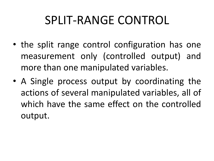## SPLIT-RANGE CONTROL

- the split range control configuration has one measurement only (controlled output) and more than one manipulated variables.
- A Single process output by coordinating the actions of several manipulated variables, all of which have the same effect on the controlled output.